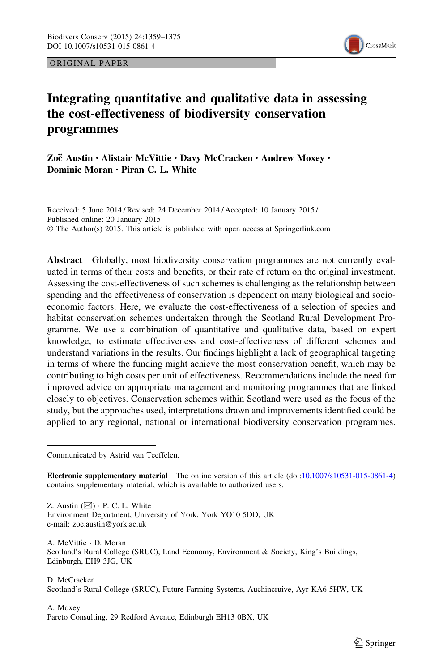ORIGINAL PAPER



# Integrating quantitative and qualitative data in assessing the cost-effectiveness of biodiversity conservation programmes

Zoë Austin · Alistair McVittie · Davy McCracken · Andrew Moxey · Dominic Moran • Piran C. L. White

Received: 5 June 2014 / Revised: 24 December 2014 / Accepted: 10 January 2015 / Published online: 20 January 2015 © The Author(s) 2015. This article is published with open access at Springerlink.com

Abstract Globally, most biodiversity conservation programmes are not currently evaluated in terms of their costs and benefits, or their rate of return on the original investment. Assessing the cost-effectiveness of such schemes is challenging as the relationship between spending and the effectiveness of conservation is dependent on many biological and socioeconomic factors. Here, we evaluate the cost-effectiveness of a selection of species and habitat conservation schemes undertaken through the Scotland Rural Development Programme. We use a combination of quantitative and qualitative data, based on expert knowledge, to estimate effectiveness and cost-effectiveness of different schemes and understand variations in the results. Our findings highlight a lack of geographical targeting in terms of where the funding might achieve the most conservation benefit, which may be contributing to high costs per unit of effectiveness. Recommendations include the need for improved advice on appropriate management and monitoring programmes that are linked closely to objectives. Conservation schemes within Scotland were used as the focus of the study, but the approaches used, interpretations drawn and improvements identified could be applied to any regional, national or international biodiversity conservation programmes.

Communicated by Astrid van Teeffelen.

Z. Austin  $(\boxtimes) \cdot$  P. C. L. White Environment Department, University of York, York YO10 5DD, UK e-mail: zoe.austin@york.ac.uk

A. McVittie - D. Moran Scotland's Rural College (SRUC), Land Economy, Environment & Society, King's Buildings, Edinburgh, EH9 3JG, UK

D. McCracken Scotland's Rural College (SRUC), Future Farming Systems, Auchincruive, Ayr KA6 5HW, UK

Electronic supplementary material The online version of this article (doi[:10.1007/s10531-015-0861-4\)](http://dx.doi.org/10.1007/s10531-015-0861-4) contains supplementary material, which is available to authorized users.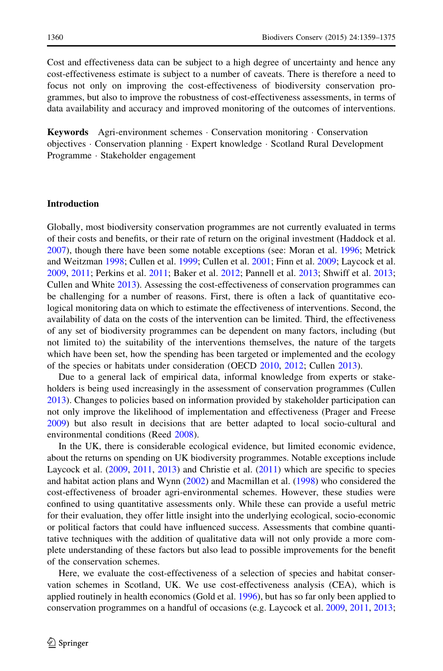Cost and effectiveness data can be subject to a high degree of uncertainty and hence any cost-effectiveness estimate is subject to a number of caveats. There is therefore a need to focus not only on improving the cost-effectiveness of biodiversity conservation programmes, but also to improve the robustness of cost-effectiveness assessments, in terms of data availability and accuracy and improved monitoring of the outcomes of interventions.

Keywords Agri-environment schemes · Conservation monitoring · Conservation objectives - Conservation planning - Expert knowledge - Scotland Rural Development Programme - Stakeholder engagement

## Introduction

Globally, most biodiversity conservation programmes are not currently evaluated in terms of their costs and benefits, or their rate of return on the original investment (Haddock et al. [2007\)](#page-15-0), though there have been some notable exceptions (see: Moran et al. [1996;](#page-16-0) Metrick and Weitzman [1998](#page-16-0); Cullen et al. [1999](#page-15-0); Cullen et al. [2001;](#page-15-0) Finn et al. [2009;](#page-15-0) Laycock et al. [2009,](#page-15-0) [2011;](#page-15-0) Perkins et al. [2011;](#page-16-0) Baker et al. [2012](#page-15-0); Pannell et al. [2013](#page-16-0); Shwiff et al. [2013;](#page-16-0) Cullen and White [2013](#page-15-0)). Assessing the cost-effectiveness of conservation programmes can be challenging for a number of reasons. First, there is often a lack of quantitative ecological monitoring data on which to estimate the effectiveness of interventions. Second, the availability of data on the costs of the intervention can be limited. Third, the effectiveness of any set of biodiversity programmes can be dependent on many factors, including (but not limited to) the suitability of the interventions themselves, the nature of the targets which have been set, how the spending has been targeted or implemented and the ecology of the species or habitats under consideration (OECD [2010,](#page-16-0) [2012](#page-16-0); Cullen [2013\)](#page-15-0).

Due to a general lack of empirical data, informal knowledge from experts or stakeholders is being used increasingly in the assessment of conservation programmes (Cullen [2013\)](#page-15-0). Changes to policies based on information provided by stakeholder participation can not only improve the likelihood of implementation and effectiveness (Prager and Freese [2009\)](#page-16-0) but also result in decisions that are better adapted to local socio-cultural and environmental conditions (Reed [2008](#page-16-0)).

In the UK, there is considerable ecological evidence, but limited economic evidence, about the returns on spending on UK biodiversity programmes. Notable exceptions include Laycock et al.  $(2009, 2011, 2013)$  $(2009, 2011, 2013)$  $(2009, 2011, 2013)$  $(2009, 2011, 2013)$  $(2009, 2011, 2013)$  $(2009, 2011, 2013)$  $(2009, 2011, 2013)$  and Christie et al.  $(2011)$  $(2011)$  which are specific to species and habitat action plans and Wynn ([2002\)](#page-16-0) and Macmillan et al. ([1998\)](#page-15-0) who considered the cost-effectiveness of broader agri-environmental schemes. However, these studies were confined to using quantitative assessments only. While these can provide a useful metric for their evaluation, they offer little insight into the underlying ecological, socio-economic or political factors that could have influenced success. Assessments that combine quantitative techniques with the addition of qualitative data will not only provide a more complete understanding of these factors but also lead to possible improvements for the benefit of the conservation schemes.

Here, we evaluate the cost-effectiveness of a selection of species and habitat conservation schemes in Scotland, UK. We use cost-effectiveness analysis (CEA), which is applied routinely in health economics (Gold et al. [1996](#page-15-0)), but has so far only been applied to conservation programmes on a handful of occasions (e.g. Laycock et al. [2009](#page-15-0), [2011](#page-15-0), [2013;](#page-15-0)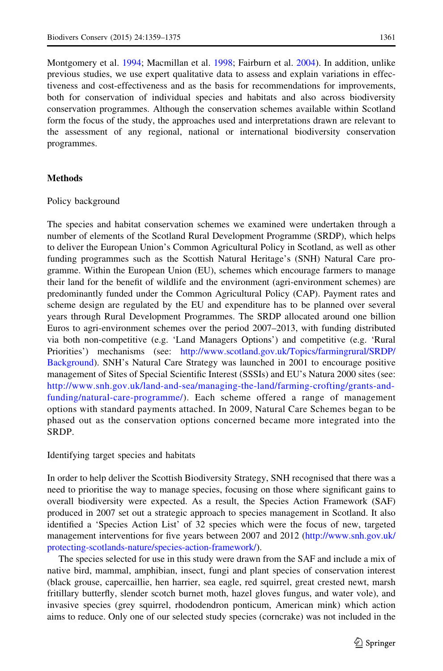Montgomery et al. [1994](#page-16-0); Macmillan et al. [1998;](#page-15-0) Fairburn et al. [2004](#page-15-0)). In addition, unlike previous studies, we use expert qualitative data to assess and explain variations in effectiveness and cost-effectiveness and as the basis for recommendations for improvements, both for conservation of individual species and habitats and also across biodiversity conservation programmes. Although the conservation schemes available within Scotland form the focus of the study, the approaches used and interpretations drawn are relevant to the assessment of any regional, national or international biodiversity conservation programmes.

## **Methods**

## Policy background

The species and habitat conservation schemes we examined were undertaken through a number of elements of the Scotland Rural Development Programme (SRDP), which helps to deliver the European Union's Common Agricultural Policy in Scotland, as well as other funding programmes such as the Scottish Natural Heritage's (SNH) Natural Care programme. Within the European Union (EU), schemes which encourage farmers to manage their land for the benefit of wildlife and the environment (agri-environment schemes) are predominantly funded under the Common Agricultural Policy (CAP). Payment rates and scheme design are regulated by the EU and expenditure has to be planned over several years through Rural Development Programmes. The SRDP allocated around one billion Euros to agri-environment schemes over the period 2007–2013, with funding distributed via both non-competitive (e.g. 'Land Managers Options') and competitive (e.g. 'Rural Priorities') mechanisms (see: [http://www.scotland.gov.uk/Topics/farmingrural/SRDP/](http://www.scotland.gov.uk/Topics/farmingrural/SRDP/Background) [Background](http://www.scotland.gov.uk/Topics/farmingrural/SRDP/Background)). SNH's Natural Care Strategy was launched in 2001 to encourage positive management of Sites of Special Scientific Interest (SSSIs) and EU's Natura 2000 sites (see: [http://www.snh.gov.uk/land-and-sea/managing-the-land/farming-crofting/grants-and](http://www.snh.gov.uk/land-and-sea/managing-the-land/farming-crofting/grants-and-funding/natural-care-programme/)[funding/natural-care-programme/\)](http://www.snh.gov.uk/land-and-sea/managing-the-land/farming-crofting/grants-and-funding/natural-care-programme/). Each scheme offered a range of management options with standard payments attached. In 2009, Natural Care Schemes began to be phased out as the conservation options concerned became more integrated into the SRDP.

Identifying target species and habitats

In order to help deliver the Scottish Biodiversity Strategy, SNH recognised that there was a need to prioritise the way to manage species, focusing on those where significant gains to overall biodiversity were expected. As a result, the Species Action Framework (SAF) produced in 2007 set out a strategic approach to species management in Scotland. It also identified a 'Species Action List' of 32 species which were the focus of new, targeted management interventions for five years between 2007 and 2012 ([http://www.snh.gov.uk/](http://www.snh.gov.uk/protecting-scotlands-nature/species-action-framework/) [protecting-scotlands-nature/species-action-framework/](http://www.snh.gov.uk/protecting-scotlands-nature/species-action-framework/)).

The species selected for use in this study were drawn from the SAF and include a mix of native bird, mammal, amphibian, insect, fungi and plant species of conservation interest (black grouse, capercaillie, hen harrier, sea eagle, red squirrel, great crested newt, marsh fritillary butterfly, slender scotch burnet moth, hazel gloves fungus, and water vole), and invasive species (grey squirrel, rhododendron ponticum, American mink) which action aims to reduce. Only one of our selected study species (corncrake) was not included in the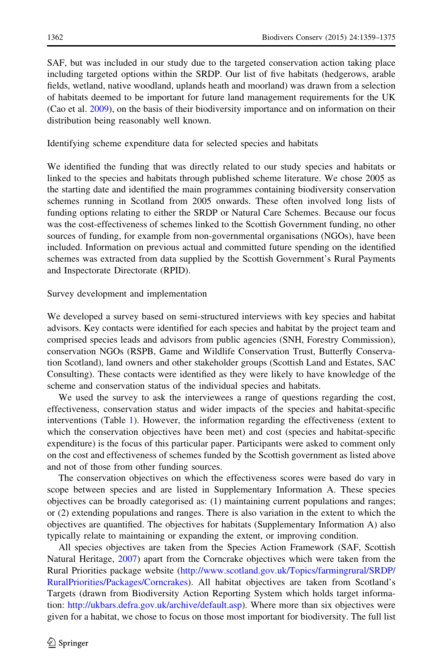SAF, but was included in our study due to the targeted conservation action taking place including targeted options within the SRDP. Our list of five habitats (hedgerows, arable fields, wetland, native woodland, uplands heath and moorland) was drawn from a selection of habitats deemed to be important for future land management requirements for the UK (Cao et al. [2009\)](#page-15-0), on the basis of their biodiversity importance and on information on their distribution being reasonably well known.

Identifying scheme expenditure data for selected species and habitats

We identified the funding that was directly related to our study species and habitats or linked to the species and habitats through published scheme literature. We chose 2005 as the starting date and identified the main programmes containing biodiversity conservation schemes running in Scotland from 2005 onwards. These often involved long lists of funding options relating to either the SRDP or Natural Care Schemes. Because our focus was the cost-effectiveness of schemes linked to the Scottish Government funding, no other sources of funding, for example from non-governmental organisations (NGOs), have been included. Information on previous actual and committed future spending on the identified schemes was extracted from data supplied by the Scottish Government's Rural Payments and Inspectorate Directorate (RPID).

Survey development and implementation

We developed a survey based on semi-structured interviews with key species and habitat advisors. Key contacts were identified for each species and habitat by the project team and comprised species leads and advisors from public agencies (SNH, Forestry Commission), conservation NGOs (RSPB, Game and Wildlife Conservation Trust, Butterfly Conservation Scotland), land owners and other stakeholder groups (Scottish Land and Estates, SAC Consulting). These contacts were identified as they were likely to have knowledge of the scheme and conservation status of the individual species and habitats.

We used the survey to ask the interviewees a range of questions regarding the cost, effectiveness, conservation status and wider impacts of the species and habitat-specific interventions (Table [1\)](#page-4-0). However, the information regarding the effectiveness (extent to which the conservation objectives have been met) and cost (species and habitat-specific expenditure) is the focus of this particular paper. Participants were asked to comment only on the cost and effectiveness of schemes funded by the Scottish government as listed above and not of those from other funding sources.

The conservation objectives on which the effectiveness scores were based do vary in scope between species and are listed in Supplementary Information A. These species objectives can be broadly categorised as: (1) maintaining current populations and ranges; or (2) extending populations and ranges. There is also variation in the extent to which the objectives are quantified. The objectives for habitats (Supplementary Information A) also typically relate to maintaining or expanding the extent, or improving condition.

All species objectives are taken from the Species Action Framework (SAF, Scottish Natural Heritage, [2007](#page-16-0)) apart from the Corncrake objectives which were taken from the Rural Priorities package website [\(http://www.scotland.gov.uk/Topics/farmingrural/SRDP/](http://www.scotland.gov.uk/Topics/farmingrural/SRDP/RuralPriorities/Packages/Corncrakes) [RuralPriorities/Packages/Corncrakes](http://www.scotland.gov.uk/Topics/farmingrural/SRDP/RuralPriorities/Packages/Corncrakes)). All habitat objectives are taken from Scotland's Targets (drawn from Biodiversity Action Reporting System which holds target information: <http://ukbars.defra.gov.uk/archive/default.asp>). Where more than six objectives were given for a habitat, we chose to focus on those most important for biodiversity. The full list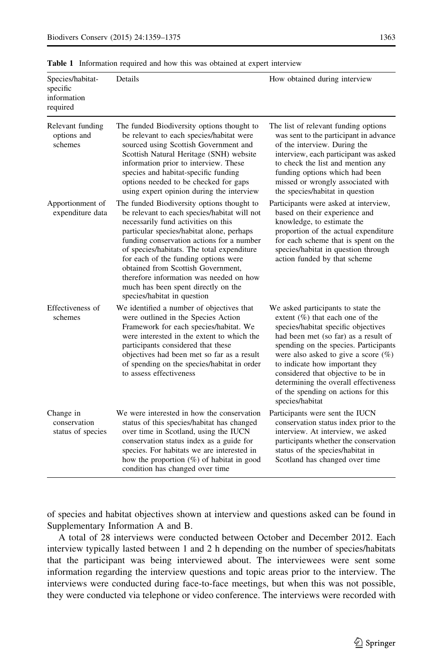| Species/habitat-<br>specific<br>information<br>required | Details                                                                                                                                                                                                                                                                                                                                                                                                                                                                  | How obtained during interview                                                                                                                                                                                                                                                                                                                                                                                         |
|---------------------------------------------------------|--------------------------------------------------------------------------------------------------------------------------------------------------------------------------------------------------------------------------------------------------------------------------------------------------------------------------------------------------------------------------------------------------------------------------------------------------------------------------|-----------------------------------------------------------------------------------------------------------------------------------------------------------------------------------------------------------------------------------------------------------------------------------------------------------------------------------------------------------------------------------------------------------------------|
| Relevant funding<br>options and<br>schemes              | The funded Biodiversity options thought to<br>be relevant to each species/habitat were<br>sourced using Scottish Government and<br>Scottish Natural Heritage (SNH) website<br>information prior to interview. These<br>species and habitat-specific funding<br>options needed to be checked for gaps<br>using expert opinion during the interview                                                                                                                        | The list of relevant funding options<br>was sent to the participant in advance<br>of the interview. During the<br>interview, each participant was asked<br>to check the list and mention any<br>funding options which had been<br>missed or wrongly associated with<br>the species/habitat in question                                                                                                                |
| Apportionment of<br>expenditure data                    | The funded Biodiversity options thought to<br>be relevant to each species/habitat will not<br>necessarily fund activities on this<br>particular species/habitat alone, perhaps<br>funding conservation actions for a number<br>of species/habitats. The total expenditure<br>for each of the funding options were<br>obtained from Scottish Government.<br>therefore information was needed on how<br>much has been spent directly on the<br>species/habitat in question | Participants were asked at interview,<br>based on their experience and<br>knowledge, to estimate the<br>proportion of the actual expenditure<br>for each scheme that is spent on the<br>species/habitat in question through<br>action funded by that scheme                                                                                                                                                           |
| Effectiveness of<br>schemes                             | We identified a number of objectives that<br>were outlined in the Species Action<br>Framework for each species/habitat. We<br>were interested in the extent to which the<br>participants considered that these<br>objectives had been met so far as a result<br>of spending on the species/habitat in order<br>to assess effectiveness                                                                                                                                   | We asked participants to state the<br>extent $(\%)$ that each one of the<br>species/habitat specific objectives<br>had been met (so far) as a result of<br>spending on the species. Participants<br>were also asked to give a score $(\%)$<br>to indicate how important they<br>considered that objective to be in<br>determining the overall effectiveness<br>of the spending on actions for this<br>species/habitat |
| Change in<br>conservation<br>status of species          | We were interested in how the conservation<br>status of this species/habitat has changed<br>over time in Scotland, using the IUCN<br>conservation status index as a guide for<br>species. For habitats we are interested in<br>how the proportion $(\%)$ of habitat in good<br>condition has changed over time                                                                                                                                                           | Participants were sent the IUCN<br>conservation status index prior to the<br>interview. At interview, we asked<br>participants whether the conservation<br>status of the species/habitat in<br>Scotland has changed over time                                                                                                                                                                                         |

<span id="page-4-0"></span>Table 1 Information required and how this was obtained at expert interview

of species and habitat objectives shown at interview and questions asked can be found in Supplementary Information A and B.

A total of 28 interviews were conducted between October and December 2012. Each interview typically lasted between 1 and 2 h depending on the number of species/habitats that the participant was being interviewed about. The interviewees were sent some information regarding the interview questions and topic areas prior to the interview. The interviews were conducted during face-to-face meetings, but when this was not possible, they were conducted via telephone or video conference. The interviews were recorded with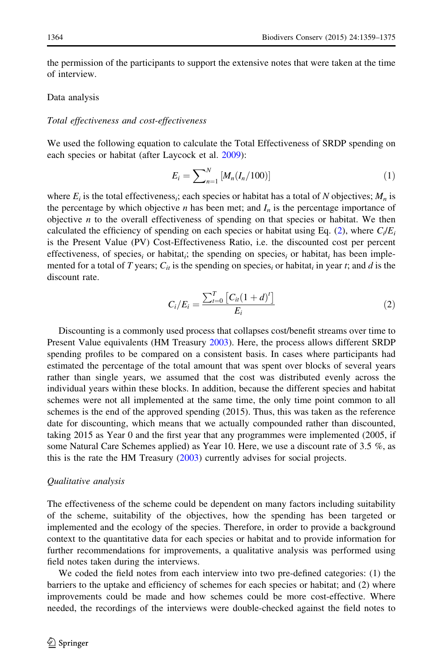the permission of the participants to support the extensive notes that were taken at the time of interview.

### Data analysis

## Total effectiveness and cost-effectiveness

We used the following equation to calculate the Total Effectiveness of SRDP spending on each species or habitat (after Laycock et al. [2009](#page-15-0)):

$$
E_i = \sum_{n=1}^{N} \left[ M_n(I_n/100) \right] \tag{1}
$$

where  $E_i$  is the total effectiveness<sub>i</sub>; each species or habitat has a total of N objectives;  $M_n$  is the percentage by which objective n has been met; and  $I_n$  is the percentage importance of objective  $n$  to the overall effectiveness of spending on that species or habitat. We then calculated the efficiency of spending on each species or habitat using Eq. (2), where  $C_i/E_i$ is the Present Value (PV) Cost-Effectiveness Ratio, i.e. the discounted cost per percent effectiveness, of species, or habitat, the spending on species, or habitat, has been implemented for a total of T years;  $C_{it}$  is the spending on species<sub>i</sub> or habitat<sub>i</sub> in year t; and d is the discount rate.

$$
C_i/E_i = \frac{\sum_{t=0}^{T} [C_{ii}(1+d)^t]}{E_i}
$$
 (2)

Discounting is a commonly used process that collapses cost/benefit streams over time to Present Value equivalents (HM Treasury [2003\)](#page-16-0). Here, the process allows different SRDP spending profiles to be compared on a consistent basis. In cases where participants had estimated the percentage of the total amount that was spent over blocks of several years rather than single years, we assumed that the cost was distributed evenly across the individual years within these blocks. In addition, because the different species and habitat schemes were not all implemented at the same time, the only time point common to all schemes is the end of the approved spending (2015). Thus, this was taken as the reference date for discounting, which means that we actually compounded rather than discounted, taking 2015 as Year 0 and the first year that any programmes were implemented (2005, if some Natural Care Schemes applied) as Year 10. Here, we use a discount rate of 3.5 %, as this is the rate the HM Treasury [\(2003](#page-16-0)) currently advises for social projects.

#### Qualitative analysis

The effectiveness of the scheme could be dependent on many factors including suitability of the scheme, suitability of the objectives, how the spending has been targeted or implemented and the ecology of the species. Therefore, in order to provide a background context to the quantitative data for each species or habitat and to provide information for further recommendations for improvements, a qualitative analysis was performed using field notes taken during the interviews.

We coded the field notes from each interview into two pre-defined categories: (1) the barriers to the uptake and efficiency of schemes for each species or habitat; and (2) where improvements could be made and how schemes could be more cost-effective. Where needed, the recordings of the interviews were double-checked against the field notes to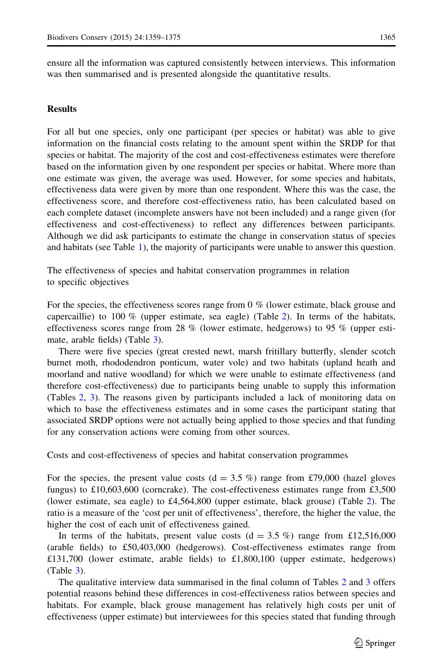ensure all the information was captured consistently between interviews. This information was then summarised and is presented alongside the quantitative results.

## **Results**

For all but one species, only one participant (per species or habitat) was able to give information on the financial costs relating to the amount spent within the SRDP for that species or habitat. The majority of the cost and cost-effectiveness estimates were therefore based on the information given by one respondent per species or habitat. Where more than one estimate was given, the average was used. However, for some species and habitats, effectiveness data were given by more than one respondent. Where this was the case, the effectiveness score, and therefore cost-effectiveness ratio, has been calculated based on each complete dataset (incomplete answers have not been included) and a range given (for effectiveness and cost-effectiveness) to reflect any differences between participants. Although we did ask participants to estimate the change in conservation status of species and habitats (see Table [1\)](#page-4-0), the majority of participants were unable to answer this question.

The effectiveness of species and habitat conservation programmes in relation to specific objectives

For the species, the effectiveness scores range from 0 % (lower estimate, black grouse and capercaillie) to  $100\%$  (upper estimate, sea eagle) (Table [2](#page-7-0)). In terms of the habitats, effectiveness scores range from 28  $\%$  (lower estimate, hedgerows) to 95  $\%$  (upper estimate, arable fields) (Table [3\)](#page-10-0).

There were five species (great crested newt, marsh fritillary butterfly, slender scotch burnet moth, rhododendron ponticum, water vole) and two habitats (upland heath and moorland and native woodland) for which we were unable to estimate effectiveness (and therefore cost-effectiveness) due to participants being unable to supply this information (Tables [2](#page-7-0), [3](#page-10-0)). The reasons given by participants included a lack of monitoring data on which to base the effectiveness estimates and in some cases the participant stating that associated SRDP options were not actually being applied to those species and that funding for any conservation actions were coming from other sources.

Costs and cost-effectiveness of species and habitat conservation programmes

For the species, the present value costs ( $d = 3.5\%$ ) range from £79,000 (hazel gloves fungus) to £10,603,600 (corncrake). The cost-effectiveness estimates range from £3,500 (lower estimate, sea eagle) to £4,564,800 (upper estimate, black grouse) (Table [2\)](#page-7-0). The ratio is a measure of the 'cost per unit of effectiveness', therefore, the higher the value, the higher the cost of each unit of effectiveness gained.

In terms of the habitats, present value costs ( $d = 3.5\%$ ) range from £12,516,000 (arable fields) to £50,403,000 (hedgerows). Cost-effectiveness estimates range from £131,700 (lower estimate, arable fields) to £1,800,100 (upper estimate, hedgerows) (Table [3](#page-10-0)).

The qualitative interview data summarised in the final column of Tables [2](#page-7-0) and [3](#page-10-0) offers potential reasons behind these differences in cost-effectiveness ratios between species and habitats. For example, black grouse management has relatively high costs per unit of effectiveness (upper estimate) but interviewees for this species stated that funding through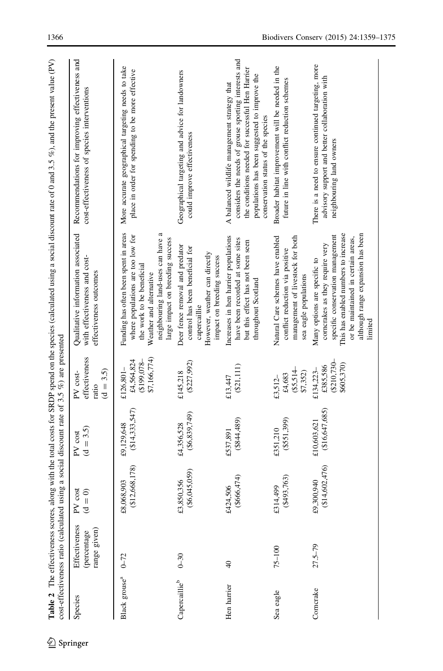<span id="page-7-0"></span>

|                           | cost-effectiveness ratio (calculated         |                                | using a social discount rate of 3.5 %) are presented |                                                         |                                                                                                                                                                                                                                   | Table 2 The effectiveness scores, along with the total costs for SRDP spend on the species (calculated using a social discount rate of 0 and 3.5 %), and the present value (PV)                                                                 |
|---------------------------|----------------------------------------------|--------------------------------|------------------------------------------------------|---------------------------------------------------------|-----------------------------------------------------------------------------------------------------------------------------------------------------------------------------------------------------------------------------------|-------------------------------------------------------------------------------------------------------------------------------------------------------------------------------------------------------------------------------------------------|
| Species                   | Effectiveness<br>range given)<br>(percentage | cost<br>$= 0$<br>ΣÀ<br>ਦ       | $(d = 3.5)$<br>PV cost                               | effectiveness<br>$(d = 3.5)$<br>PV cost-<br>ratio       | Qualitative information associated<br>with effectiveness and cost-<br>effectiveness outcomes                                                                                                                                      | Recommendations for improving effectiveness and<br>cost-effectiveness of species interventions                                                                                                                                                  |
| Black grouse <sup>a</sup> | $0 - 72$                                     | (\$12,668,178)<br>£8,068,903   | $(\$14,333,547)$<br>£9,129,648                       | \$7,166,774)<br>£4,564,824<br>$(199.078 -$<br>£126,801- | neighbouring land-uses can have a<br>Funding has often been spent in areas<br>where populations are too low for<br>large impact on breeding success<br>the work to be beneficial<br>Weather and alternative                       | More accurate geographical targeting needs to take<br>place in order for spending to be more effective                                                                                                                                          |
| Capercaillie <sup>b</sup> | $0 - 30$                                     | $($ \$6,045,059)<br>£3,850,356 | $($ \$6,839,749)<br>£4,356,528                       | $(\$227,992)$<br>£145,218                               | Deer fence removal and predator<br>control has been beneficial for<br>However, weather can directly<br>impact on breeding success<br>capercaillie                                                                                 | Geographical targeting and advice for landowners<br>could improve effectiveness                                                                                                                                                                 |
| Hen harrier               | $\overline{4}$                               | $(*666,474)$<br>£424,506       | (8844, 489)<br>£537,891                              | (521, 111)<br>£13,447                                   | Increases in hen harrier populations<br>have been recorded at some sites<br>but this effect has not been seen<br>throughout Scotland                                                                                              | considers the needs of grouse sporting interests and<br>the conditions needed for successful Hen Harrier<br>populations has been suggested to improve the<br>A balanced wildlife management strategy that<br>conservation status of the species |
| Sea eagle                 | $75 - 100$                                   | $(*93,763)$<br>£314,499        | ( \$551,399)<br>£351,210                             | $(55,514-$<br>\$7,352)<br>£4,683<br>$£3,512-$           | Natural Care schemes have enabled<br>management of livestock for both<br>conflict reduction via positive<br>sea eagle populations                                                                                                 | Broader habitat improvement will be needed in the<br>future in line with conflict reduction schemes                                                                                                                                             |
| Corncrake                 | $27.5 - 79$                                  | $(\$14,602,476)$<br>£9,300,940 | (\$16, 647, 685)<br>£10,603,621                      | $(S210.730 -$<br>\$605,370)<br>£385,586<br>£134,223-    | This has enabled numbers to increase<br>although range expansion has been<br>specific conservation management<br>or be maintained in certain areas,<br>corncrakes as they require very<br>Many options are specific to<br>limited | There is a need to ensure continued targeting, more<br>advisory support and better collaboration with<br>neighbouring land owners                                                                                                               |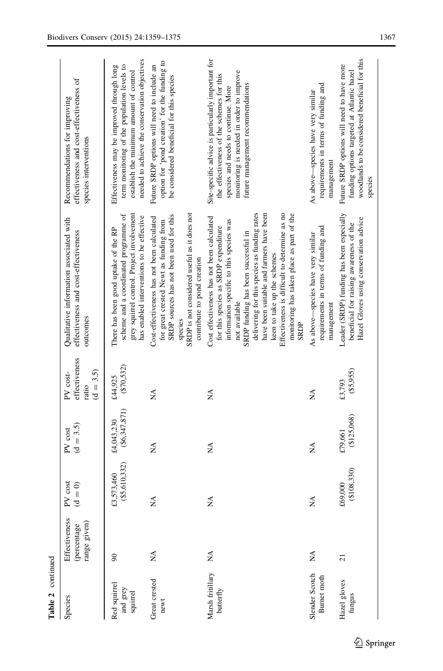| Table 2 continued                    |                                              |                                |                               |                                                   |                                                                                                                                                                                                                                                                                                                                                                                                                                |                                                                                                                                                                                                                         |
|--------------------------------------|----------------------------------------------|--------------------------------|-------------------------------|---------------------------------------------------|--------------------------------------------------------------------------------------------------------------------------------------------------------------------------------------------------------------------------------------------------------------------------------------------------------------------------------------------------------------------------------------------------------------------------------|-------------------------------------------------------------------------------------------------------------------------------------------------------------------------------------------------------------------------|
| Species                              | Effectiveness<br>range given)<br>(percentage | PV cost<br>$(d = 0)$           | $(d = 3.5)$<br>PV cost        | effectiveness<br>$(d = 3.5)$<br>PV cost-<br>ratio | Qualitative information associated with<br>effectiveness and cost-effectiveness<br>outcomes                                                                                                                                                                                                                                                                                                                                    | effectiveness and cost-effectiveness of<br>Recommendations for improving<br>species interventions                                                                                                                       |
| Red squirrel<br>and grey<br>squirrel | $\infty$                                     | ( \$5, 610, 332)<br>£3,573,460 | $(\$6,347,871)$<br>£4,043,230 | $(\$70,532)$<br>£44,925                           | grey squirrel control. Project involvement<br>scheme and a coordinated programme of<br>has enabled interventions to be effective<br>There has been good uptake of the RP                                                                                                                                                                                                                                                       | needed to achieve the conservation objectives<br>term monitoring of the population levels to<br>Effectiveness may be improved through long<br>establish the minimum amount of control                                   |
| Great crested<br>newt                | Ź                                            | Ź                              | Ź                             | Ź                                                 | SRDP is not considered useful as it does not<br>SRDP sources has not been used for this<br>Cost-effectiveness has not been calculated<br>for great crested Newt as funding from<br>contribute to pond creation<br>species                                                                                                                                                                                                      | option for 'pond creation' for the funding to<br>Future SRDP options will need to include an<br>be considered beneficial for this species                                                                               |
| Marsh fritillary<br>butterfly        | $\lessapprox$                                | ≸                              | Ź                             | Ź                                                 | Effectiveness is difficult to determine as no<br>delivering for this species as funding rates<br>have been suitable and farmers have been<br>monitoring has taken place as part of the<br>Cost effectiveness has not been calculated<br>information specific to this species was<br>for this species as SRDP expenditure<br>SRDP funding has been successful in<br>keen to take up the schemes<br>not available<br><b>SRDP</b> | Site-specific advice is particularly important for<br>monitoring is needed in order to improve<br>the effectiveness of the schemes for this<br>future management recommendations<br>species and needs to continue. More |
| Slender Scotch<br>Burnet moth        | $\mathbb{Z}^2$                               | $\mathbb{Z}^2$                 | Ź                             | ≸                                                 | requirements in terms of funding and<br>As above-species have very similar<br>management                                                                                                                                                                                                                                                                                                                                       | requirements in terms of funding and<br>As above—species have very similar<br>management                                                                                                                                |
| Hazel gloves<br>${\rm fungus}$       | $\overline{c}$                               | $($ \$108,330)<br>£69,000      | $(\$125,068)$<br>£79,661      | $($ \$5,955)<br>£3,793                            | Leader (SRDP) funding has been especially<br>Hazel Gloves using conservation advice<br>beneficial for raising awareness of the                                                                                                                                                                                                                                                                                                 | woodlands to be considered beneficial for this<br>Future SRDP options will need to have more<br>funding options targeted at Atlantic hazel<br>species                                                                   |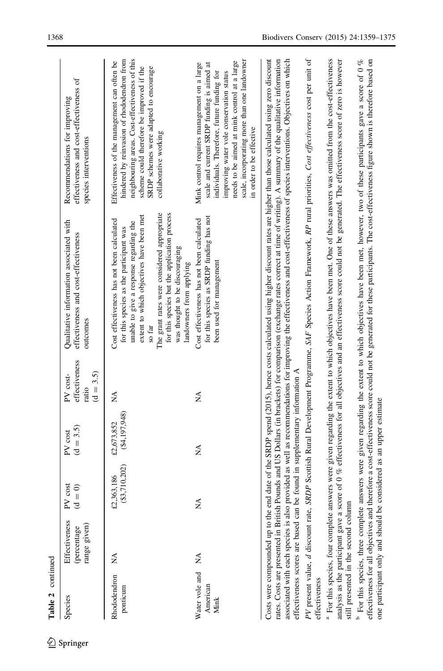| Table 2 continued                  |                                                                       |                                                                    |                                         |                                                   |                                                                                                                                                                                                                                                                                                                                                     |                                                                                                                                                                                                                                                                                                                                                                                                                                                                                                               |
|------------------------------------|-----------------------------------------------------------------------|--------------------------------------------------------------------|-----------------------------------------|---------------------------------------------------|-----------------------------------------------------------------------------------------------------------------------------------------------------------------------------------------------------------------------------------------------------------------------------------------------------------------------------------------------------|---------------------------------------------------------------------------------------------------------------------------------------------------------------------------------------------------------------------------------------------------------------------------------------------------------------------------------------------------------------------------------------------------------------------------------------------------------------------------------------------------------------|
| Species                            | Effectiveness<br>range given)<br>(percentage                          | PV cost<br>$(d = 0)$                                               | $(d = 3.5)$<br>PV cost                  | effectiveness<br>$(d = 3.5)$<br>PV cost-<br>ratio | Qualitative information associated with<br>effectiveness and cost-effectiveness<br>outcomes                                                                                                                                                                                                                                                         | effectiveness and cost-effectiveness of<br>Recommendations for improving<br>species interventions                                                                                                                                                                                                                                                                                                                                                                                                             |
| Rhododendron<br>ponticum           | Ź                                                                     | ( \$3, 710, 202)<br>£2,363,186                                     | $(*4,197,948)$<br>£2,673,852            | Z                                                 | The grant rates were considered appropriate<br>for this species but the application process<br>extent to which objectives have been met<br>Cost effectiveness has not been calculated<br>unable to give a response regarding the<br>for this species as the participant was<br>was thought to be discouraging<br>landowners from applying<br>so far | neighbouring areas. Cost-effectiveness of this<br>hindered by reinvasion of rhododendron from<br>Effectiveness of the management can often be<br>scheme could therefore be improved if the<br>SRDP schemes were adapted to encourage<br>collaborative working                                                                                                                                                                                                                                                 |
| Water vole and<br>American<br>Mink | ₹<br>X                                                                | $\mathbb{A}$                                                       | Ź                                       | ≸                                                 | for this species as SRDP funding has not<br>Cost effectiveness has not been calculated<br>been used for management                                                                                                                                                                                                                                  | scale, incorporating more than one landowner<br>needs to be aimed at mink control at a large<br>scale and current SRDP funding is aimed at<br>Mink control requires management on a large<br>individuals. Therefore, future funding for<br>improving water vole conservation status<br>in order to be effective                                                                                                                                                                                               |
|                                    | Costs were compounded up to the<br>effectiveness scores are based can |                                                                    | be found in supplementary information A |                                                   |                                                                                                                                                                                                                                                                                                                                                     | end date of the SRDP spend (2015), hence costs calculated using higher discount rates are higher than those calculated using zero discount<br>rates. Costs are presented in British Pounds and US Dollars (in brackets) for comparison (exchange rates correct at time of writing). A summary of the qualitative information<br>associated with each species is also provided as well as recommendations for improving the effectiveness and cost-effectiveness of species interventions. Objectives on which |
| effectiveness                      | PV present value, d discount rate,                                    |                                                                    |                                         |                                                   |                                                                                                                                                                                                                                                                                                                                                     | SRDP Scottish Rural Development Programme, SAF Species Action Framework, RP rural priorities, Cost effectiveness cost per unit of                                                                                                                                                                                                                                                                                                                                                                             |
|                                    | still presented in the second column                                  |                                                                    |                                         |                                                   |                                                                                                                                                                                                                                                                                                                                                     | <sup>a</sup> For this species, four complete answers were given regarding the extent to which objectives have been met. One of these answers was omitted from the cost-effectiveness<br>analysis as the participant gave a score of 0 % effectiveness for all objectives and an effectiveness score could not be generated. The effectiveness score of zero is however                                                                                                                                        |
|                                    | effectiveness for all objectives and                                  | one participant only and should be considered as an upper estimate |                                         |                                                   |                                                                                                                                                                                                                                                                                                                                                     | $\frac{b}{c}$ For this species, three complete answers were given regarding the extent to which objectives have been met, however, two of these participants gave a score of 0 %<br>therefore a cost-effectiveness score could not be generated for these participants. The cost-effectiveness figure shown is therefore based on                                                                                                                                                                             |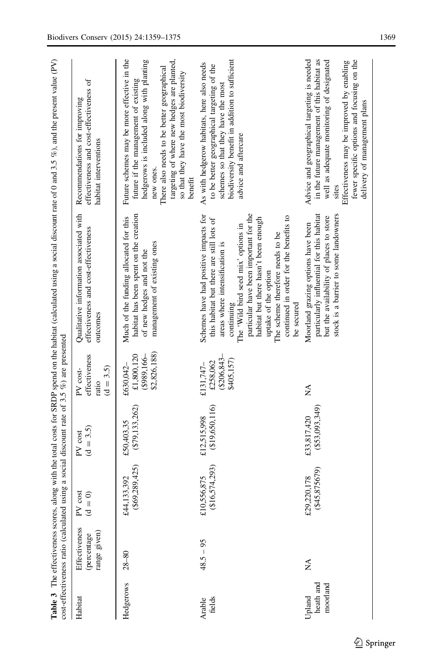<span id="page-10-0"></span>

|                                 | Table 3 The effectiveness scores,<br>cost-effectiveness ratio (calculated |                                   | using a social discount rate of 3.5 %) are presented |                                                           |                                                                                                                                                                                                                                                                                                                                                                                | along with the total costs for SRDP spend on the habitat (calculated using a social discount rate of 0 and 3.5 %), and the present value (PV)                                                                                                                                                   |
|---------------------------------|---------------------------------------------------------------------------|-----------------------------------|------------------------------------------------------|-----------------------------------------------------------|--------------------------------------------------------------------------------------------------------------------------------------------------------------------------------------------------------------------------------------------------------------------------------------------------------------------------------------------------------------------------------|-------------------------------------------------------------------------------------------------------------------------------------------------------------------------------------------------------------------------------------------------------------------------------------------------|
| Habitat                         | Effectiveness<br>range given)<br>(percentage                              | cost<br>$\widehat{0}$<br>Σ<br>ē   | $(d = 3.5)$<br>PV cost                               | effectiveness<br>$(d = 3.5)$<br>PV cost-<br>ratio         | Qualitative information associated with<br>effectiveness and cost-effectiveness<br>outcomes                                                                                                                                                                                                                                                                                    | effectiveness and cost-effectiveness of<br>Recommendations for improving<br>habitat interventions                                                                                                                                                                                               |
| Hedgerows                       | $28 - 80$                                                                 | \$69,289,425)<br>£44.133.392      | $($ \$79,133,262)<br>£50,403.35                      | \$2,826,188)<br>$( $989, 166-$<br>£1,800,120<br>£630.042- | habitat has been spent on the creation<br>Much of the funding allocated for this<br>management of existing ones<br>of new hedges and not the                                                                                                                                                                                                                                   | Future schemes may be more effective in the<br>hedgerows is included along with planting<br>targeting of where new hedges are planted,<br>There also needs to be better geographical<br>so that they have the most biodiversity<br>future if the management of existing<br>new ones.<br>benefit |
| fields<br>Arable                | $48.5 - 95$                                                               | $(*16,574,293)$<br>0,556,875<br>급 | (819, 650, 116)<br>£12,515,998                       | $$206,843-$<br>\$405,157)<br>£258,062<br>£131.747-        | particular have been important for the<br>Schemes have had positive impacts for<br>continued in order for the benefits to<br>habitat but there hasn't been enough<br>this habitat but there are still lots of<br>The 'Wild bird seed mix' options in<br>The scheme therefore needs to be<br>areas where intensification is<br>uptake of the option<br>continuing<br>be secured | biodiversity benefit in addition to sufficient<br>As with hedgerow habitats, here also needs<br>to be better geographical targeting of the<br>schemes so that they have the most<br>advice and aftercare                                                                                        |
| heath and<br>moorland<br>Upland | Á                                                                         | $(*45,875679)$<br>£29,220,178     | $($ \$53,093,349)<br>£33,817,420                     | $\mathbb{A}$                                              | stock is a barrier to some landowners<br>particularly influential for this habitat<br>but the availability of places to store<br>Moorland grazing options have been                                                                                                                                                                                                            | Advice and geographical targeting is needed<br>in the future management of this habitat as<br>fewer specific options and focusing on the<br>well as adequate monitoring of designated<br>Effectiveness may be improved by enabling<br>delivery of management plans<br>sites                     |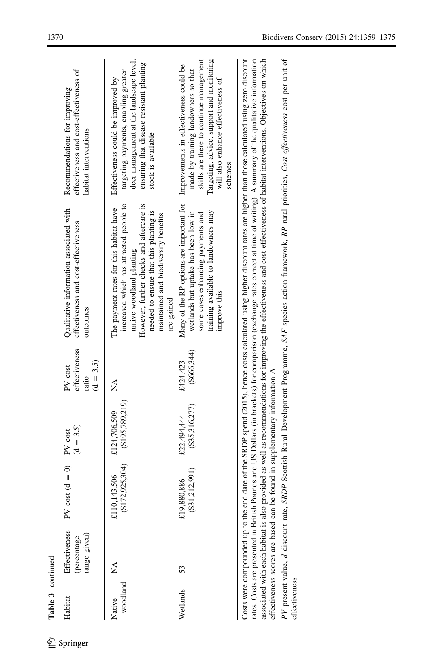| Table 3 continued  |                                             |                                     |                               |                                                   |                                                                                                                                                                                                                                                            |                                                                                                                                                                                                                        |
|--------------------|---------------------------------------------|-------------------------------------|-------------------------------|---------------------------------------------------|------------------------------------------------------------------------------------------------------------------------------------------------------------------------------------------------------------------------------------------------------------|------------------------------------------------------------------------------------------------------------------------------------------------------------------------------------------------------------------------|
| Habitat            | Effectiveness<br>range given)<br>percentage | PV $cost$ $(d = 0)$ PV $cost$       | $(d = 3.5)$                   | effectiveness<br>$(d = 3.5)$<br>PV cost-<br>ratio | Qualitative information associated with<br>effectiveness and cost-effectiveness<br>outcomes                                                                                                                                                                | effectiveness and cost-effectiveness of<br>Recommendations for improving<br>habitat interventions                                                                                                                      |
| woodland<br>Native | Ź                                           | (\$172,925,304)<br>10,143,506<br>£, | (195,789,219)<br>£124,706,509 | ∕<br>Z                                            | increased which has attracted people to<br>However, further checks and aftercare is<br>The payment rates for this habitat have<br>needed to ensure that this planting is<br>maintained and biodiversity benefits<br>native woodland planting<br>are gained | deer management at the landscape level,<br>ensuring that disease resistant planting<br>targeting payments, enabling greater<br>Effectiveness could be improved by<br>stock is available                                |
| Wetlands           | 53                                          | $($ \$31,212,991)<br>£19,880,886    | (\$35,316,277)<br>£22.494.444 | (8666,344)<br>£424,423                            | Many of the RP options are important for<br>training available to landowners may<br>wetlands but uptake has been low in<br>some cases enhancing payments and<br>improve this                                                                               | skills are there to continue management<br>Targeting, advice, support and monitoring<br>Improvements in effectiveness could be<br>made by training landowners so that<br>will also enhance effectiveness of<br>schemes |
|                    |                                             |                                     |                               |                                                   | Costs were compounded up to the end date of the SRDP spend (2015), hence costs calculated using higher discount rates are higher than those calculated using zero discount                                                                                 |                                                                                                                                                                                                                        |

rates. Costs are presented in British Pounds and US Dollars (in brackets) for comparison (exchange rates correct at time of writing). A summary of the qualitative information associated with each habitat is also provided as well as recommendations for improving the effectiveness and cost-effectiveness of habitat interventions. Objectives on which rates. Costs are presented in British Pounds and US Dollars (in brackets) for comparison (exchange rates correct at time of writing). A summary of the qualitative information associated with each habitat is also provided as well as recommendations for improving the effectiveness and cost-effectiveness of habitat interventions. Objectives on which effectiveness scores are based can be found in supplementary information A effectiveness scores are based can be found in supplementary information A

PV present value, *d* discount rate, SRDP Scottish Rural Development Programme, SAF species action framework, RP rural priorities, Cost effectiveness cost per unit of PV present value, d discount rate, SRDP Scottish Rural Development Programme, SAF species action framework, RP rural priorities, Cost effectiveness cost per unit of effectiveness effectiveness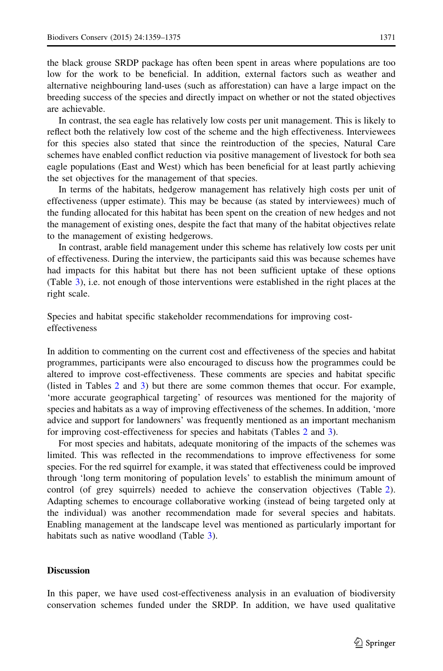the black grouse SRDP package has often been spent in areas where populations are too low for the work to be beneficial. In addition, external factors such as weather and alternative neighbouring land-uses (such as afforestation) can have a large impact on the breeding success of the species and directly impact on whether or not the stated objectives are achievable.

In contrast, the sea eagle has relatively low costs per unit management. This is likely to reflect both the relatively low cost of the scheme and the high effectiveness. Interviewees for this species also stated that since the reintroduction of the species, Natural Care schemes have enabled conflict reduction via positive management of livestock for both sea eagle populations (East and West) which has been beneficial for at least partly achieving the set objectives for the management of that species.

In terms of the habitats, hedgerow management has relatively high costs per unit of effectiveness (upper estimate). This may be because (as stated by interviewees) much of the funding allocated for this habitat has been spent on the creation of new hedges and not the management of existing ones, despite the fact that many of the habitat objectives relate to the management of existing hedgerows.

In contrast, arable field management under this scheme has relatively low costs per unit of effectiveness. During the interview, the participants said this was because schemes have had impacts for this habitat but there has not been sufficient uptake of these options (Table [3](#page-10-0)), i.e. not enough of those interventions were established in the right places at the right scale.

Species and habitat specific stakeholder recommendations for improving costeffectiveness

In addition to commenting on the current cost and effectiveness of the species and habitat programmes, participants were also encouraged to discuss how the programmes could be altered to improve cost-effectiveness. These comments are species and habitat specific (listed in Tables [2](#page-7-0) and [3](#page-10-0)) but there are some common themes that occur. For example, 'more accurate geographical targeting' of resources was mentioned for the majority of species and habitats as a way of improving effectiveness of the schemes. In addition, 'more advice and support for landowners' was frequently mentioned as an important mechanism for improving cost-effectiveness for species and habitats (Tables [2](#page-7-0) and [3](#page-10-0)).

For most species and habitats, adequate monitoring of the impacts of the schemes was limited. This was reflected in the recommendations to improve effectiveness for some species. For the red squirrel for example, it was stated that effectiveness could be improved through 'long term monitoring of population levels' to establish the minimum amount of control (of grey squirrels) needed to achieve the conservation objectives (Table [2](#page-7-0)). Adapting schemes to encourage collaborative working (instead of being targeted only at the individual) was another recommendation made for several species and habitats. Enabling management at the landscape level was mentioned as particularly important for habitats such as native woodland (Table [3\)](#page-10-0).

## **Discussion**

In this paper, we have used cost-effectiveness analysis in an evaluation of biodiversity conservation schemes funded under the SRDP. In addition, we have used qualitative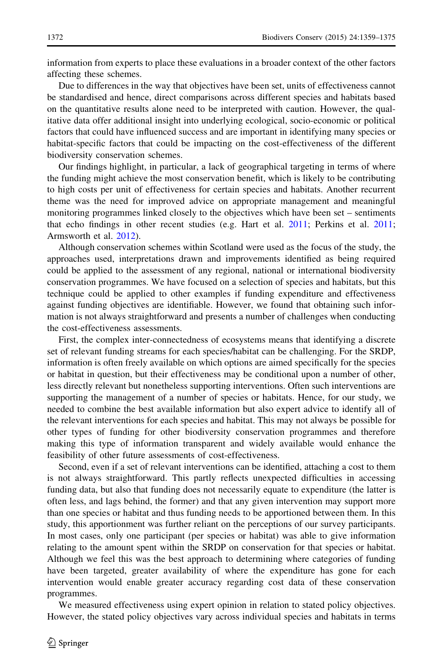information from experts to place these evaluations in a broader context of the other factors affecting these schemes.

Due to differences in the way that objectives have been set, units of effectiveness cannot be standardised and hence, direct comparisons across different species and habitats based on the quantitative results alone need to be interpreted with caution. However, the qualitative data offer additional insight into underlying ecological, socio-economic or political factors that could have influenced success and are important in identifying many species or habitat-specific factors that could be impacting on the cost-effectiveness of the different biodiversity conservation schemes.

Our findings highlight, in particular, a lack of geographical targeting in terms of where the funding might achieve the most conservation benefit, which is likely to be contributing to high costs per unit of effectiveness for certain species and habitats. Another recurrent theme was the need for improved advice on appropriate management and meaningful monitoring programmes linked closely to the objectives which have been set – sentiments that echo findings in other recent studies (e.g. Hart et al. [2011](#page-15-0); Perkins et al. [2011;](#page-16-0) Armsworth et al. [2012](#page-15-0)).

Although conservation schemes within Scotland were used as the focus of the study, the approaches used, interpretations drawn and improvements identified as being required could be applied to the assessment of any regional, national or international biodiversity conservation programmes. We have focused on a selection of species and habitats, but this technique could be applied to other examples if funding expenditure and effectiveness against funding objectives are identifiable. However, we found that obtaining such information is not always straightforward and presents a number of challenges when conducting the cost-effectiveness assessments.

First, the complex inter-connectedness of ecosystems means that identifying a discrete set of relevant funding streams for each species/habitat can be challenging. For the SRDP, information is often freely available on which options are aimed specifically for the species or habitat in question, but their effectiveness may be conditional upon a number of other, less directly relevant but nonetheless supporting interventions. Often such interventions are supporting the management of a number of species or habitats. Hence, for our study, we needed to combine the best available information but also expert advice to identify all of the relevant interventions for each species and habitat. This may not always be possible for other types of funding for other biodiversity conservation programmes and therefore making this type of information transparent and widely available would enhance the feasibility of other future assessments of cost-effectiveness.

Second, even if a set of relevant interventions can be identified, attaching a cost to them is not always straightforward. This partly reflects unexpected difficulties in accessing funding data, but also that funding does not necessarily equate to expenditure (the latter is often less, and lags behind, the former) and that any given intervention may support more than one species or habitat and thus funding needs to be apportioned between them. In this study, this apportionment was further reliant on the perceptions of our survey participants. In most cases, only one participant (per species or habitat) was able to give information relating to the amount spent within the SRDP on conservation for that species or habitat. Although we feel this was the best approach to determining where categories of funding have been targeted, greater availability of where the expenditure has gone for each intervention would enable greater accuracy regarding cost data of these conservation programmes.

We measured effectiveness using expert opinion in relation to stated policy objectives. However, the stated policy objectives vary across individual species and habitats in terms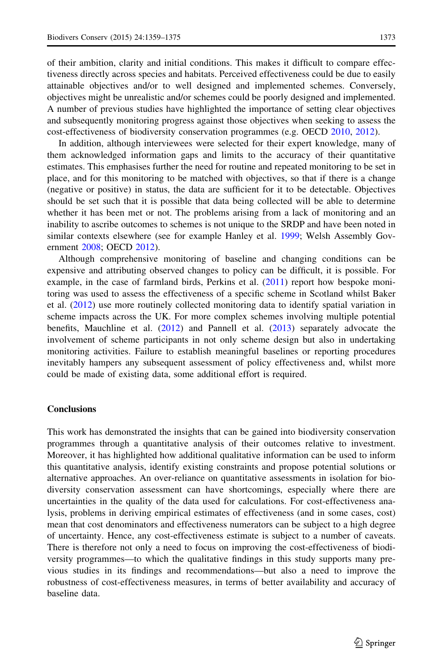of their ambition, clarity and initial conditions. This makes it difficult to compare effectiveness directly across species and habitats. Perceived effectiveness could be due to easily attainable objectives and/or to well designed and implemented schemes. Conversely, objectives might be unrealistic and/or schemes could be poorly designed and implemented. A number of previous studies have highlighted the importance of setting clear objectives and subsequently monitoring progress against those objectives when seeking to assess the cost-effectiveness of biodiversity conservation programmes (e.g. OECD [2010](#page-16-0), [2012\)](#page-16-0).

In addition, although interviewees were selected for their expert knowledge, many of them acknowledged information gaps and limits to the accuracy of their quantitative estimates. This emphasises further the need for routine and repeated monitoring to be set in place, and for this monitoring to be matched with objectives, so that if there is a change (negative or positive) in status, the data are sufficient for it to be detectable. Objectives should be set such that it is possible that data being collected will be able to determine whether it has been met or not. The problems arising from a lack of monitoring and an inability to ascribe outcomes to schemes is not unique to the SRDP and have been noted in similar contexts elsewhere (see for example Hanley et al. [1999](#page-15-0); Welsh Assembly Gov-ernment [2008](#page-16-0); OECD [2012\)](#page-16-0).

Although comprehensive monitoring of baseline and changing conditions can be expensive and attributing observed changes to policy can be difficult, it is possible. For example, in the case of farmland birds, Perkins et al. ([2011\)](#page-16-0) report how bespoke monitoring was used to assess the effectiveness of a specific scheme in Scotland whilst Baker et al. ([2012\)](#page-15-0) use more routinely collected monitoring data to identify spatial variation in scheme impacts across the UK. For more complex schemes involving multiple potential benefits, Mauchline et al. [\(2012\)](#page-15-0) and Pannell et al. [\(2013](#page-16-0)) separately advocate the involvement of scheme participants in not only scheme design but also in undertaking monitoring activities. Failure to establish meaningful baselines or reporting procedures inevitably hampers any subsequent assessment of policy effectiveness and, whilst more could be made of existing data, some additional effort is required.

## **Conclusions**

This work has demonstrated the insights that can be gained into biodiversity conservation programmes through a quantitative analysis of their outcomes relative to investment. Moreover, it has highlighted how additional qualitative information can be used to inform this quantitative analysis, identify existing constraints and propose potential solutions or alternative approaches. An over-reliance on quantitative assessments in isolation for biodiversity conservation assessment can have shortcomings, especially where there are uncertainties in the quality of the data used for calculations. For cost-effectiveness analysis, problems in deriving empirical estimates of effectiveness (and in some cases, cost) mean that cost denominators and effectiveness numerators can be subject to a high degree of uncertainty. Hence, any cost-effectiveness estimate is subject to a number of caveats. There is therefore not only a need to focus on improving the cost-effectiveness of biodiversity programmes—to which the qualitative findings in this study supports many previous studies in its findings and recommendations—but also a need to improve the robustness of cost-effectiveness measures, in terms of better availability and accuracy of baseline data.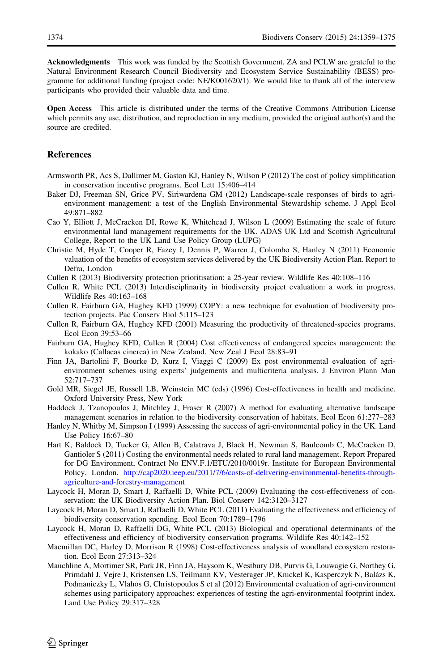<span id="page-15-0"></span>Acknowledgments This work was funded by the Scottish Government. ZA and PCLW are grateful to the Natural Environment Research Council Biodiversity and Ecosystem Service Sustainability (BESS) programme for additional funding (project code: NE/K001620/1). We would like to thank all of the interview participants who provided their valuable data and time.

Open Access This article is distributed under the terms of the Creative Commons Attribution License which permits any use, distribution, and reproduction in any medium, provided the original author(s) and the source are credited.

## **References**

- Armsworth PR, Acs S, Dallimer M, Gaston KJ, Hanley N, Wilson P (2012) The cost of policy simplification in conservation incentive programs. Ecol Lett 15:406–414
- Baker DJ, Freeman SN, Grice PV, Siriwardena GM (2012) Landscape-scale responses of birds to agrienvironment management: a test of the English Environmental Stewardship scheme. J Appl Ecol 49:871–882
- Cao Y, Elliott J, McCracken DI, Rowe K, Whitehead J, Wilson L (2009) Estimating the scale of future environmental land management requirements for the UK. ADAS UK Ltd and Scottish Agricultural College, Report to the UK Land Use Policy Group (LUPG)
- Christie M, Hyde T, Cooper R, Fazey I, Dennis P, Warren J, Colombo S, Hanley N (2011) Economic valuation of the benefits of ecosystem services delivered by the UK Biodiversity Action Plan. Report to Defra, London
- Cullen R (2013) Biodiversity protection prioritisation: a 25-year review. Wildlife Res 40:108–116
- Cullen R, White PCL (2013) Interdisciplinarity in biodiversity project evaluation: a work in progress. Wildlife Res 40:163–168
- Cullen R, Fairburn GA, Hughey KFD (1999) COPY: a new technique for evaluation of biodiversity protection projects. Pac Conserv Biol 5:115–123
- Cullen R, Fairburn GA, Hughey KFD (2001) Measuring the productivity of threatened-species programs. Ecol Econ 39:53–66
- Fairburn GA, Hughey KFD, Cullen R (2004) Cost effectiveness of endangered species management: the kokako (Callaeas cinerea) in New Zealand. New Zeal J Ecol 28:83–91
- Finn JA, Bartolini F, Bourke D, Kurz I, Viaggi C (2009) Ex post environmental evaluation of agrienvironment schemes using experts' judgements and multicriteria analysis. J Environ Plann Man 52:717–737
- Gold MR, Siegel JE, Russell LB, Weinstein MC (eds) (1996) Cost-effectiveness in health and medicine. Oxford University Press, New York
- Haddock J, Tzanopoulos J, Mitchley J, Fraser R (2007) A method for evaluating alternative landscape management scenarios in relation to the biodiversity conservation of habitats. Ecol Econ 61:277–283
- Hanley N, Whitby M, Simpson I (1999) Assessing the success of agri-environmental policy in the UK. Land Use Policy 16:67–80
- Hart K, Baldock D, Tucker G, Allen B, Calatrava J, Black H, Newman S, Baulcomb C, McCracken D, Gantioler S (2011) Costing the environmental needs related to rural land management. Report Prepared for DG Environment, Contract No ENV.F.1/ETU/2010/0019r. Institute for European Environmental Policy, London. [http://cap2020.ieep.eu/2011/7/6/costs-of-delivering-environmental-benefits-through](http://cap2020.ieep.eu/2011/7/6/costs-of-delivering-environmental-benefits-through-agriculture-and-forestry-management)[agriculture-and-forestry-management](http://cap2020.ieep.eu/2011/7/6/costs-of-delivering-environmental-benefits-through-agriculture-and-forestry-management)
- Laycock H, Moran D, Smart J, Raffaelli D, White PCL (2009) Evaluating the cost-effectiveness of conservation: the UK Biodiversity Action Plan. Biol Conserv 142:3120–3127
- Laycock H, Moran D, Smart J, Raffaelli D, White PCL (2011) Evaluating the effectiveness and efficiency of biodiversity conservation spending. Ecol Econ 70:1789–1796
- Laycock H, Moran D, Raffaelli DG, White PCL (2013) Biological and operational determinants of the effectiveness and efficiency of biodiversity conservation programs. Wildlife Res 40:142–152
- Macmillan DC, Harley D, Morrison R (1998) Cost-effectiveness analysis of woodland ecosystem restoration. Ecol Econ 27:313–324
- Mauchline A, Mortimer SR, Park JR, Finn JA, Haysom K, Westbury DB, Purvis G, Louwagie G, Northey G, Primdahl J, Vejre J, Kristensen LS, Teilmann KV, Vesterager JP, Knickel K, Kasperczyk N, Balázs K, Podmaniczky L, Vlahos G, Christopoulos S et al (2012) Environmental evaluation of agri-environment schemes using participatory approaches: experiences of testing the agri-environmental footprint index. Land Use Policy 29:317–328